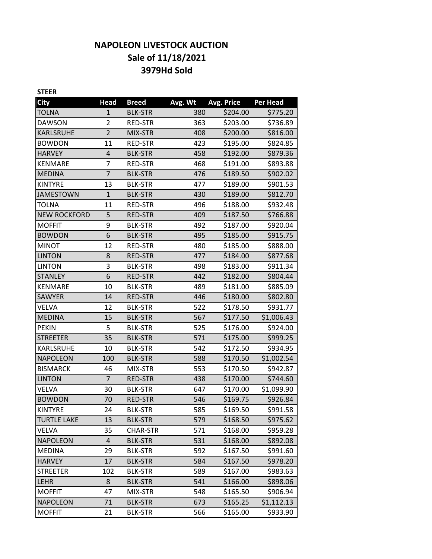# **NAPOLEON LIVESTOCK AUCTION Sale of 11/18/2021 3979Hd Sold**

| <b>STEER</b>        |                |                 |         |                   |                 |
|---------------------|----------------|-----------------|---------|-------------------|-----------------|
| <b>City</b>         | <b>Head</b>    | <b>Breed</b>    | Avg. Wt | <b>Avg. Price</b> | <b>Per Head</b> |
| <b>TOLNA</b>        | 1              | <b>BLK-STR</b>  | 380     | \$204.00          | \$775.20        |
| <b>DAWSON</b>       | $\overline{2}$ | RED-STR         | 363     | \$203.00          | \$736.89        |
| KARLSRUHE           | $\overline{2}$ | MIX-STR         | 408     | \$200.00          | \$816.00        |
| <b>BOWDON</b>       | 11             | <b>RED-STR</b>  | 423     | \$195.00          | \$824.85        |
| <b>HARVEY</b>       | $\overline{4}$ | <b>BLK-STR</b>  | 458     | \$192.00          | \$879.36        |
| <b>KENMARE</b>      | 7              | RED-STR         | 468     | \$191.00          | \$893.88        |
| <b>MEDINA</b>       | $\overline{7}$ | <b>BLK-STR</b>  | 476     | \$189.50          | \$902.02        |
| <b>KINTYRE</b>      | 13             | <b>BLK-STR</b>  | 477     | \$189.00          | \$901.53        |
| <b>JAMESTOWN</b>    | $\mathbf{1}$   | <b>BLK-STR</b>  | 430     | \$189.00          | \$812.70        |
| <b>TOLNA</b>        | 11             | RED-STR         | 496     | \$188.00          | \$932.48        |
| <b>NEW ROCKFORD</b> | 5              | <b>RED-STR</b>  | 409     | \$187.50          | \$766.88        |
| <b>MOFFIT</b>       | 9              | <b>BLK-STR</b>  | 492     | \$187.00          | \$920.04        |
| <b>BOWDON</b>       | 6              | <b>BLK-STR</b>  | 495     | \$185.00          | \$915.75        |
| <b>MINOT</b>        | 12             | <b>RED-STR</b>  | 480     | \$185.00          | \$888.00        |
| <b>LINTON</b>       | 8              | <b>RED-STR</b>  | 477     | \$184.00          | \$877.68        |
| <b>LINTON</b>       | 3              | <b>BLK-STR</b>  | 498     | \$183.00          | \$911.34        |
| <b>STANLEY</b>      | 6              | <b>RED-STR</b>  | 442     | \$182.00          | \$804.44        |
| <b>KENMARE</b>      | 10             | <b>BLK-STR</b>  | 489     | \$181.00          | \$885.09        |
| <b>SAWYER</b>       | 14             | <b>RED-STR</b>  | 446     | \$180.00          | \$802.80        |
| VELVA               | 12             | <b>BLK-STR</b>  | 522     | \$178.50          | \$931.77        |
| <b>MEDINA</b>       | 15             | <b>BLK-STR</b>  | 567     | \$177.50          | \$1,006.43      |
| <b>PEKIN</b>        | 5              | <b>BLK-STR</b>  | 525     | \$176.00          | \$924.00        |
| <b>STREETER</b>     | 35             | <b>BLK-STR</b>  | 571     | \$175.00          | \$999.25        |
| KARLSRUHE           | 10             | <b>BLK-STR</b>  | 542     | \$172.50          | \$934.95        |
| <b>NAPOLEON</b>     | 100            | <b>BLK-STR</b>  | 588     | \$170.50          | \$1,002.54      |
| <b>BISMARCK</b>     | 46             | MIX-STR         | 553     | \$170.50          | \$942.87        |
| <b>LINTON</b>       | $\overline{7}$ | <b>RED-STR</b>  | 438     | \$170.00          | \$744.60        |
| VELVA               | 30             | <b>BLK-STR</b>  | 647     | \$170.00          | \$1,099.90      |
| <b>BOWDON</b>       | 70             | <b>RED-STR</b>  | 546     | \$169.75          | \$926.84        |
| <b>KINTYRE</b>      | 24             | <b>BLK-STR</b>  | 585     | \$169.50          | \$991.58        |
| <b>TURTLE LAKE</b>  | 13             | <b>BLK-STR</b>  | 579     | \$168.50          | \$975.62        |
| VELVA               | 35             | <b>CHAR-STR</b> | 571     | \$168.00          | \$959.28        |
| <b>NAPOLEON</b>     | 4              | <b>BLK-STR</b>  | 531     | \$168.00          | \$892.08        |
| <b>MEDINA</b>       | 29             | <b>BLK-STR</b>  | 592     | \$167.50          | \$991.60        |
| <b>HARVEY</b>       | 17             | <b>BLK-STR</b>  | 584     | \$167.50          | \$978.20        |
| <b>STREETER</b>     | 102            | <b>BLK-STR</b>  | 589     | \$167.00          | \$983.63        |
| LEHR                | 8              | <b>BLK-STR</b>  | 541     | \$166.00          | \$898.06        |
| <b>MOFFIT</b>       | 47             | MIX-STR         | 548     | \$165.50          | \$906.94        |
| <b>NAPOLEON</b>     | 71             | <b>BLK-STR</b>  | 673     | \$165.25          | \$1,112.13      |
| <b>MOFFIT</b>       | 21             | <b>BLK-STR</b>  | 566     | \$165.00          | \$933.90        |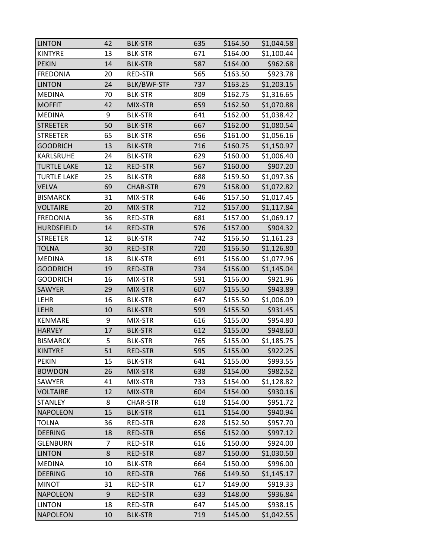| <b>LINTON</b>      | 42 | <b>BLK-STR</b>     | 635 | \$164.50 | \$1,044.58 |
|--------------------|----|--------------------|-----|----------|------------|
| <b>KINTYRE</b>     | 13 | <b>BLK-STR</b>     | 671 | \$164.00 | \$1,100.44 |
| <b>PEKIN</b>       | 14 | <b>BLK-STR</b>     | 587 | \$164.00 | \$962.68   |
| <b>FREDONIA</b>    | 20 | RED-STR            | 565 | \$163.50 | \$923.78   |
| <b>LINTON</b>      | 24 | <b>BLK/BWF-STF</b> | 737 | \$163.25 | \$1,203.15 |
| <b>MEDINA</b>      | 70 | <b>BLK-STR</b>     | 809 | \$162.75 | \$1,316.65 |
| <b>MOFFIT</b>      | 42 | MIX-STR            | 659 | \$162.50 | \$1,070.88 |
| <b>MEDINA</b>      | 9  | <b>BLK-STR</b>     | 641 | \$162.00 | \$1,038.42 |
| <b>STREETER</b>    | 50 | <b>BLK-STR</b>     | 667 | \$162.00 | \$1,080.54 |
| <b>STREETER</b>    | 65 | <b>BLK-STR</b>     | 656 | \$161.00 | \$1,056.16 |
| <b>GOODRICH</b>    | 13 | <b>BLK-STR</b>     | 716 | \$160.75 | \$1,150.97 |
| KARLSRUHE          | 24 | <b>BLK-STR</b>     | 629 | \$160.00 | \$1,006.40 |
| <b>TURTLE LAKE</b> | 12 | <b>RED-STR</b>     | 567 | \$160.00 | \$907.20   |
| <b>TURTLE LAKE</b> | 25 | <b>BLK-STR</b>     | 688 | \$159.50 | \$1,097.36 |
| <b>VELVA</b>       | 69 | <b>CHAR-STR</b>    | 679 | \$158.00 | \$1,072.82 |
| <b>BISMARCK</b>    | 31 | MIX-STR            | 646 | \$157.50 | \$1,017.45 |
| <b>VOLTAIRE</b>    | 20 | MIX-STR            | 712 | \$157.00 | \$1,117.84 |
| <b>FREDONIA</b>    | 36 | RED-STR            | 681 | \$157.00 | \$1,069.17 |
| <b>HURDSFIELD</b>  | 14 | <b>RED-STR</b>     | 576 | \$157.00 | \$904.32   |
| <b>STREETER</b>    | 12 | <b>BLK-STR</b>     | 742 | \$156.50 | \$1,161.23 |
| <b>TOLNA</b>       | 30 | <b>RED-STR</b>     | 720 | \$156.50 | \$1,126.80 |
| <b>MEDINA</b>      | 18 | <b>BLK-STR</b>     | 691 | \$156.00 | \$1,077.96 |
| <b>GOODRICH</b>    | 19 | <b>RED-STR</b>     | 734 | \$156.00 | \$1,145.04 |
| <b>GOODRICH</b>    | 16 | MIX-STR            | 591 | \$156.00 | \$921.96   |
| <b>SAWYER</b>      | 29 | MIX-STR            | 607 | \$155.50 | \$943.89   |
| LEHR               | 16 | <b>BLK-STR</b>     | 647 | \$155.50 | \$1,006.09 |
| <b>LEHR</b>        | 10 | <b>BLK-STR</b>     | 599 | \$155.50 | \$931.45   |
| <b>KENMARE</b>     | 9  | MIX-STR            | 616 | \$155.00 | \$954.80   |
| <b>HARVEY</b>      | 17 | <b>BLK-STR</b>     | 612 | \$155.00 | \$948.60   |
| <b>BISMARCK</b>    | 5  | <b>BLK-STR</b>     | 765 | \$155.00 | \$1,185.75 |
| <b>KINTYRE</b>     | 51 | <b>RED-STR</b>     | 595 | \$155.00 | \$922.25   |
| <b>PEKIN</b>       | 15 | <b>BLK-STR</b>     | 641 | \$155.00 | \$993.55   |
| <b>BOWDON</b>      | 26 | MIX-STR            | 638 | \$154.00 | \$982.52   |
| <b>SAWYER</b>      | 41 | MIX-STR            | 733 | \$154.00 | \$1,128.82 |
| <b>VOLTAIRE</b>    | 12 | MIX-STR            | 604 | \$154.00 | \$930.16   |
| <b>STANLEY</b>     | 8  | <b>CHAR-STR</b>    | 618 | \$154.00 | \$951.72   |
| <b>NAPOLEON</b>    | 15 | <b>BLK-STR</b>     | 611 | \$154.00 | \$940.94   |
| <b>TOLNA</b>       | 36 | RED-STR            | 628 | \$152.50 | \$957.70   |
| <b>DEERING</b>     | 18 | <b>RED-STR</b>     | 656 | \$152.00 | \$997.12   |
| <b>GLENBURN</b>    | 7  | RED-STR            | 616 | \$150.00 | \$924.00   |
| <b>LINTON</b>      | 8  | <b>RED-STR</b>     | 687 | \$150.00 | \$1,030.50 |
| <b>MEDINA</b>      | 10 | <b>BLK-STR</b>     | 664 | \$150.00 | \$996.00   |
| <b>DEERING</b>     | 10 | <b>RED-STR</b>     | 766 | \$149.50 | \$1,145.17 |
| <b>MINOT</b>       | 31 | RED-STR            | 617 | \$149.00 | \$919.33   |
| <b>NAPOLEON</b>    | 9  | <b>RED-STR</b>     | 633 | \$148.00 | \$936.84   |
| <b>LINTON</b>      | 18 | RED-STR            | 647 | \$145.00 | \$938.15   |
| <b>NAPOLEON</b>    | 10 | <b>BLK-STR</b>     | 719 | \$145.00 | \$1,042.55 |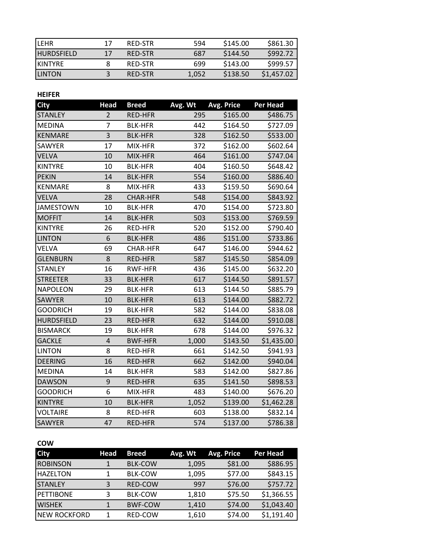| <b>LEHR</b>       | 17 | RED-STR | 594   | \$145.00 | \$861.30   |
|-------------------|----|---------|-------|----------|------------|
| <b>HURDSFIELD</b> | 17 | RED-STR | 687   | \$144.50 | \$992.72   |
| <b>IKINTYRE</b>   |    | RED-STR | 699   | \$143.00 | \$999.57   |
| <b>LINTON</b>     |    | RED-STR | 1.052 | \$138.50 | \$1,457.02 |

# **HEIFER**

| <b>City</b>       | <b>Head</b>    | <b>Breed</b>    | Avg. Wt | Avg. Price | Per Head   |
|-------------------|----------------|-----------------|---------|------------|------------|
| <b>STANLEY</b>    | $\overline{2}$ | <b>RED-HFR</b>  | 295     | \$165.00   | \$486.75   |
| <b>MEDINA</b>     | 7              | <b>BLK-HFR</b>  | 442     | \$164.50   | \$727.09   |
| <b>KENMARE</b>    | 3              | <b>BLK-HFR</b>  | 328     | \$162.50   | \$533.00   |
| SAWYER            | 17             | MIX-HFR         | 372     | \$162.00   | \$602.64   |
| <b>VELVA</b>      | 10             | MIX-HFR         | 464     | \$161.00   | \$747.04   |
| <b>KINTYRE</b>    | 10             | <b>BLK-HFR</b>  | 404     | \$160.50   | \$648.42   |
| <b>PEKIN</b>      | 14             | <b>BLK-HFR</b>  | 554     | \$160.00   | \$886.40   |
| <b>KENMARE</b>    | 8              | MIX-HFR         | 433     | \$159.50   | \$690.64   |
| <b>VELVA</b>      | 28             | <b>CHAR-HFR</b> | 548     | \$154.00   | \$843.92   |
| <b>JAMESTOWN</b>  | 10             | <b>BLK-HFR</b>  | 470     | \$154.00   | \$723.80   |
| <b>MOFFIT</b>     | 14             | <b>BLK-HFR</b>  | 503     | \$153.00   | \$769.59   |
| <b>KINTYRE</b>    | 26             | RED-HFR         | 520     | \$152.00   | \$790.40   |
| <b>LINTON</b>     | 6              | <b>BLK-HFR</b>  | 486     | \$151.00   | \$733.86   |
| <b>VELVA</b>      | 69             | <b>CHAR-HFR</b> | 647     | \$146.00   | \$944.62   |
| <b>GLENBURN</b>   | 8              | <b>RED-HFR</b>  | 587     | \$145.50   | \$854.09   |
| <b>STANLEY</b>    | 16             | <b>RWF-HFR</b>  | 436     | \$145.00   | \$632.20   |
| <b>STREETER</b>   | 33             | <b>BLK-HFR</b>  | 617     | \$144.50   | \$891.57   |
| <b>NAPOLEON</b>   | 29             | <b>BLK-HFR</b>  | 613     | \$144.50   | \$885.79   |
| <b>SAWYER</b>     | 10             | <b>BLK-HFR</b>  | 613     | \$144.00   | \$882.72   |
| <b>GOODRICH</b>   | 19             | <b>BLK-HFR</b>  | 582     | \$144.00   | \$838.08   |
| <b>HURDSFIELD</b> | 23             | <b>RED-HFR</b>  | 632     | \$144.00   | \$910.08   |
| <b>BISMARCK</b>   | 19             | <b>BLK-HFR</b>  | 678     | \$144.00   | \$976.32   |
| <b>GACKLE</b>     | $\overline{4}$ | <b>BWF-HFR</b>  | 1,000   | \$143.50   | \$1,435.00 |
| <b>LINTON</b>     | 8              | RED-HFR         | 661     | \$142.50   | \$941.93   |
| <b>DEERING</b>    | 16             | RED-HFR         | 662     | \$142.00   | \$940.04   |
| <b>MEDINA</b>     | 14             | <b>BLK-HFR</b>  | 583     | \$142.00   | \$827.86   |
| <b>DAWSON</b>     | 9              | RED-HFR         | 635     | \$141.50   | \$898.53   |
| <b>GOODRICH</b>   | 6              | MIX-HFR         | 483     | \$140.00   | \$676.20   |
| <b>KINTYRE</b>    | 10             | <b>BLK-HFR</b>  | 1,052   | \$139.00   | \$1,462.28 |
| <b>VOLTAIRE</b>   | 8              | RED-HFR         | 603     | \$138.00   | \$832.14   |
| <b>SAWYER</b>     | 47             | <b>RED-HFR</b>  | 574     | \$137.00   | \$786.38   |

# **COW**

| <b>City</b>      | Head | <b>Breed</b>   | Avg. Wt | Avg. Price | Per Head   |
|------------------|------|----------------|---------|------------|------------|
| <b>ROBINSON</b>  |      | <b>BLK-COW</b> | 1,095   | \$81.00    | \$886.95   |
| <b>HAZELTON</b>  | 1    | <b>BLK-COW</b> | 1,095   | \$77.00    | \$843.15   |
| <b>STANLEY</b>   | 3    | <b>RED-COW</b> | 997     | \$76.00    | \$757.72   |
| <b>PETTIBONE</b> | 3    | <b>BLK-COW</b> | 1,810   | \$75.50    | \$1,366.55 |
| <b>WISHEK</b>    | 1    | <b>BWF-COW</b> | 1.410   | \$74.00    | \$1,043.40 |
| INEW ROCKFORD    |      | <b>RED-COW</b> | 1,610   | \$74.00    | \$1,191.40 |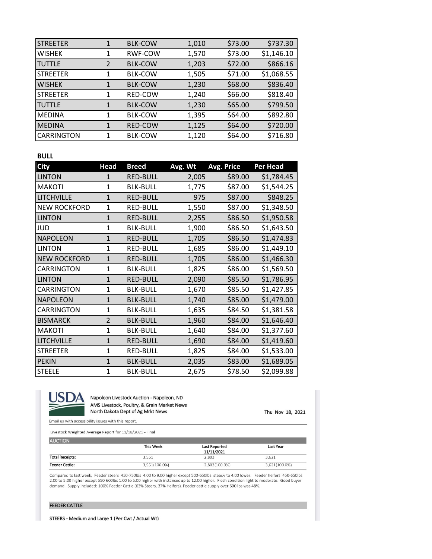| <b>STREETER</b> |              | <b>BLK-COW</b> | 1,010 | \$73.00 | \$737.30   |
|-----------------|--------------|----------------|-------|---------|------------|
| <b>WISHEK</b>   | 1            | <b>RWF-COW</b> | 1,570 | \$73.00 | \$1,146.10 |
| <b>TUTTLE</b>   | 2            | <b>BLK-COW</b> | 1,203 | \$72.00 | \$866.16   |
| <b>STREETER</b> | 1            | <b>BLK-COW</b> | 1,505 | \$71.00 | \$1,068.55 |
| <b>WISHEK</b>   | $\mathbf{1}$ | <b>BLK-COW</b> | 1,230 | \$68.00 | \$836.40   |
| <b>STREETER</b> | 1            | <b>RED-COW</b> | 1,240 | \$66.00 | \$818.40   |
| <b>TUTTLE</b>   | 1            | <b>BLK-COW</b> | 1,230 | \$65.00 | \$799.50   |
| <b>MEDINA</b>   | 1            | <b>BLK-COW</b> | 1,395 | \$64.00 | \$892.80   |
| <b>MEDINA</b>   | 1            | <b>RED-COW</b> | 1,125 | \$64.00 | \$720.00   |
| CARRINGTON      |              | <b>BLK-COW</b> | 1,120 | \$64.00 | \$716.80   |

## **BULL**

| <b>City</b>         | <b>Head</b>    | <b>Breed</b>    | Avg. Wt | Avg. Price | <b>Per Head</b> |
|---------------------|----------------|-----------------|---------|------------|-----------------|
| <b>LINTON</b>       | 1              | <b>RED-BULL</b> | 2,005   | \$89.00    | \$1,784.45      |
| <b>MAKOTI</b>       | $\mathbf{1}$   | <b>BLK-BULL</b> | 1,775   | \$87.00    | \$1,544.25      |
| <b>LITCHVILLE</b>   | $\mathbf{1}$   | <b>RED-BULL</b> | 975     | \$87.00    | \$848.25        |
| <b>NEW ROCKFORD</b> | $\mathbf{1}$   | <b>RED-BULL</b> | 1,550   | \$87.00    | \$1,348.50      |
| <b>LINTON</b>       | $\mathbf{1}$   | <b>RED-BULL</b> | 2,255   | \$86.50    | \$1,950.58      |
| <b>JUD</b>          | $\mathbf{1}$   | <b>BLK-BULL</b> | 1,900   | \$86.50    | \$1,643.50      |
| <b>NAPOLEON</b>     | $\mathbf{1}$   | <b>RED-BULL</b> | 1,705   | \$86.50    | \$1,474.83      |
| <b>LINTON</b>       | 1              | <b>RED-BULL</b> | 1,685   | \$86.00    | \$1,449.10      |
| <b>NEW ROCKFORD</b> | $\mathbf{1}$   | <b>RED-BULL</b> | 1,705   | \$86.00    | \$1,466.30      |
| <b>CARRINGTON</b>   | 1              | <b>BLK-BULL</b> | 1,825   | \$86.00    | \$1,569.50      |
| <b>LINTON</b>       | $\mathbf{1}$   | <b>RED-BULL</b> | 2,090   | \$85.50    | \$1,786.95      |
| <b>CARRINGTON</b>   | 1              | <b>BLK-BULL</b> | 1,670   | \$85.50    | \$1,427.85      |
| <b>NAPOLEON</b>     | $\mathbf{1}$   | <b>BLK-BULL</b> | 1,740   | \$85.00    | \$1,479.00      |
| CARRINGTON          | $\mathbf{1}$   | <b>BLK-BULL</b> | 1,635   | \$84.50    | \$1,381.58      |
| <b>BISMARCK</b>     | $\overline{2}$ | <b>BLK-BULL</b> | 1,960   | \$84.00    | \$1,646.40      |
| <b>MAKOTI</b>       | $\mathbf{1}$   | <b>BLK-BULL</b> | 1,640   | \$84.00    | \$1,377.60      |
| <b>LITCHVILLE</b>   | $\mathbf{1}$   | <b>RED-BULL</b> | 1,690   | \$84.00    | \$1,419.60      |
| <b>STREETER</b>     | $\mathbf{1}$   | <b>RED-BULL</b> | 1,825   | \$84.00    | \$1,533.00      |
| <b>PEKIN</b>        | $\mathbf{1}$   | <b>BLK-BULL</b> | 2,035   | \$83.00    | \$1,689.05      |
| <b>STEELE</b>       | $\mathbf{1}$   | <b>BLK-BULL</b> | 2,675   | \$78.50    | \$2,099.88      |



Napoleon Livestock Auction - Napoleon, ND AMS Livestock, Poultry, & Grain Market News North Dakota Dept of Ag Mrkt News

Thu Nov 18, 2021

Email us with accessibility issues with this report.

Livestock Weighted Average Report for 11/18/2021 - Final

| <b>AUCTION</b>         |               |                      |               |
|------------------------|---------------|----------------------|---------------|
|                        | This Week     | <b>Last Reported</b> | Last Year     |
|                        |               | 11/11/2021           |               |
| <b>Total Receipts:</b> | 3,551         | 2,803                | 3,621         |
| <b>Feeder Cattle:</b>  | 3,551(100.0%) | 2,803(100.0%)        | 3,621(100.0%) |

Compared to last week; Feeder steers 450-750lbs 4.00 to 9.00 higher except 500-650lbs steady to 4.00 lower. Feeder heifers 450-650lbs 2.00 to 5.00 higher except 550-600lbs 1.00 to 5.00 higher with instances up to 12.00 higher. Flesh condition light to moderate. Good buyer demand. Supply included: 100% Feeder Cattle (63% Steers, 37% Heifers). Feeder cattle supply over 600 lbs was 48%.

#### **FEEDER CATTLE**

STEERS - Medium and Large 1 (Per Cwt / Actual Wt)